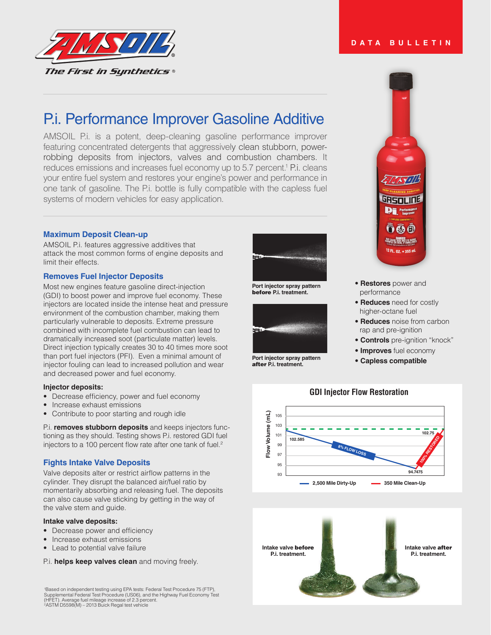

# P.i. Performance Improver Gasoline Additive

AMSOIL P.i. is a potent, deep-cleaning gasoline performance improver featuring concentrated detergents that aggressively clean stubborn, powerrobbing deposits from injectors, valves and combustion chambers. It reduces emissions and increases fuel economy up to 5.7 percent.<sup>1</sup> P.i. cleans your entire fuel system and restores your engine's power and performance in one tank of gasoline. The P.i. bottle is fully compatible with the capless fuel systems of modern vehicles for easy application.

# **Maximum Deposit Clean-up**

AMSOIL P.i. features aggressive additives that attack the most common forms of engine deposits and limit their effects.

# **Removes Fuel Injector Deposits**

Most new engines feature gasoline direct-injection (GDI) to boost power and improve fuel economy. These injectors are located inside the intense heat and pressure environment of the combustion chamber, making them particularly vulnerable to deposits. Extreme pressure combined with incomplete fuel combustion can lead to dramatically increased soot (particulate matter) levels. Direct injection typically creates 30 to 40 times more soot than port fuel injectors (PFI). Even a minimal amount of injector fouling can lead to increased pollution and wear and decreased power and fuel economy.

#### **Injector deposits:**

- Decrease efficiency, power and fuel economy
- Increase exhaust emissions
- Contribute to poor starting and rough idle

P.i. **removes stubborn deposits** and keeps injectors functioning as they should. Testing shows P.i. restored GDI fuel injectors to a 100 percent flow rate after one tank of fuel. $2$ 

# **Fights Intake Valve Deposits**

Valve deposits alter or restrict airflow patterns in the cylinder. They disrupt the balanced air/fuel ratio by momentarily absorbing and releasing fuel. The deposits can also cause valve sticking by getting in the way of the valve stem and guide.

#### **Intake valve deposits:**

- Decrease power and efficiency
- Increase exhaust emissions
- Lead to potential valve failure

P.i. **helps keep valves clean** and moving freely.

1 Based on independent testing using EPA tests: Federal Test Procedure 75 (FTP), Supplemental Federal Test Procedure (US06), and the Highway Fuel Economy Test (HFET). Average fuel mileage increase of 2.3 percent. 2ASTM D5598(M) – 2013 Buick Regal test vehicle



**Port injector spray pattern** before **P.i. treatment.**



**Port injector spray pattern** after **P.i. treatment.**

**DATA BULLETIN**



- **Restores** power and performance
- **Reduces** need for costly higher-octane fuel
- **Reduces** noise from carbon rap and pre-ignition
- **Controls** pre-ignition "knock"
- **Improves** fuel economy
- **Capless compatible**



# **GDI Injector Flow Restoration**